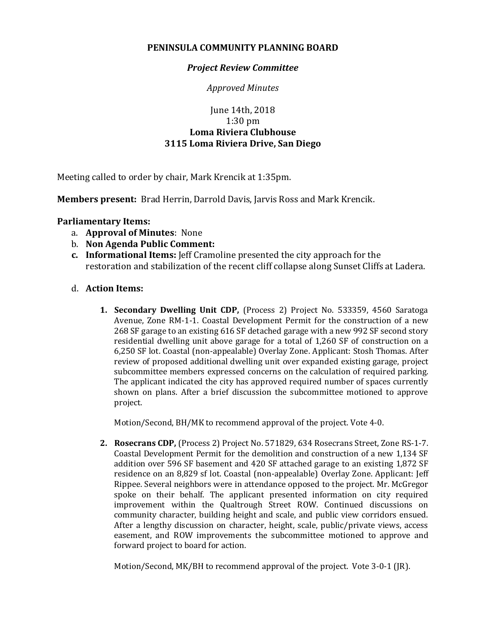# **PENINSULA COMMUNITY PLANNING BOARD**

# *Project Review Committee*

*Approved Minutes*

# June 14th, 2018 1:30 pm **Loma Riviera Clubhouse 3115 Loma Riviera Drive, San Diego**

Meeting called to order by chair, Mark Krencik at 1:35pm.

**Members present:** Brad Herrin, Darrold Davis, Jarvis Ross and Mark Krencik.

#### **Parliamentary Items:**

- a. **Approval of Minutes**: None
- b. **Non Agenda Public Comment:**
- **c. Informational Items:** Jeff Cramoline presented the city approach for the restoration and stabilization of the recent cliff collapse along Sunset Cliffs at Ladera.

# d. **Action Items:**

**1. Secondary Dwelling Unit CDP,** (Process 2) Project No. 533359, 4560 Saratoga Avenue, Zone RM-1-1. Coastal Development Permit for the construction of a new 268 SF garage to an existing 616 SF detached garage with a new 992 SF second story residential dwelling unit above garage for a total of 1,260 SF of construction on a 6,250 SF lot. Coastal (non-appealable) Overlay Zone. Applicant: Stosh Thomas. After review of proposed additional dwelling unit over expanded existing garage, project subcommittee members expressed concerns on the calculation of required parking. The applicant indicated the city has approved required number of spaces currently shown on plans. After a brief discussion the subcommittee motioned to approve project.

Motion/Second, BH/MK to recommend approval of the project. Vote 4-0.

**2. Rosecrans CDP,** (Process 2) Project No. 571829, 634 Rosecrans Street, Zone RS-1-7. Coastal Development Permit for the demolition and construction of a new 1,134 SF addition over 596 SF basement and 420 SF attached garage to an existing 1,872 SF residence on an 8,829 sf lot. Coastal (non-appealable) Overlay Zone. Applicant: Jeff Rippee. Several neighbors were in attendance opposed to the project. Mr. McGregor spoke on their behalf. The applicant presented information on city required improvement within the Qualtrough Street ROW. Continued discussions on community character, building height and scale, and public view corridors ensued. After a lengthy discussion on character, height, scale, public/private views, access easement, and ROW improvements the subcommittee motioned to approve and forward project to board for action.

Motion/Second, MK/BH to recommend approval of the project. Vote 3-0-1 (JR).